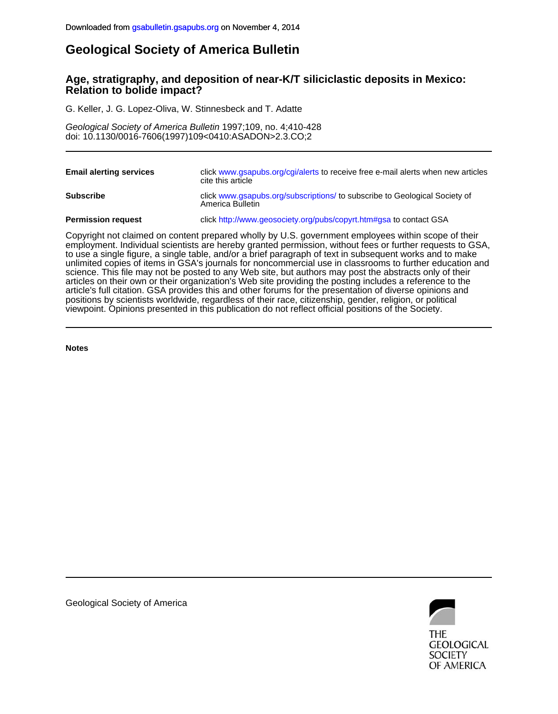# **Geological Society of America Bulletin**

# **Relation to bolide impact? Age, stratigraphy, and deposition of near-K/T siliciclastic deposits in Mexico:**

G. Keller, J. G. Lopez-Oliva, W. Stinnesbeck and T. Adatte

doi: 10.1130/0016-7606(1997)109<0410:ASADON>2.3.CO;2 Geological Society of America Bulletin 1997;109, no. 4;410-428

| <b>Email alerting services</b> | click www.gsapubs.org/cgi/alerts to receive free e-mail alerts when new articles<br>cite this article |
|--------------------------------|-------------------------------------------------------------------------------------------------------|
| <b>Subscribe</b>               | click www.gsapubs.org/subscriptions/ to subscribe to Geological Society of<br>America Bulletin        |
| <b>Permission request</b>      | click http://www.geosociety.org/pubs/copyrt.htm#gsa to contact GSA                                    |

viewpoint. Opinions presented in this publication do not reflect official positions of the Society. positions by scientists worldwide, regardless of their race, citizenship, gender, religion, or political article's full citation. GSA provides this and other forums for the presentation of diverse opinions and articles on their own or their organization's Web site providing the posting includes a reference to the science. This file may not be posted to any Web site, but authors may post the abstracts only of their unlimited copies of items in GSA's journals for noncommercial use in classrooms to further education and to use a single figure, a single table, and/or a brief paragraph of text in subsequent works and to make employment. Individual scientists are hereby granted permission, without fees or further requests to GSA, Copyright not claimed on content prepared wholly by U.S. government employees within scope of their

**Notes**



Geological Society of America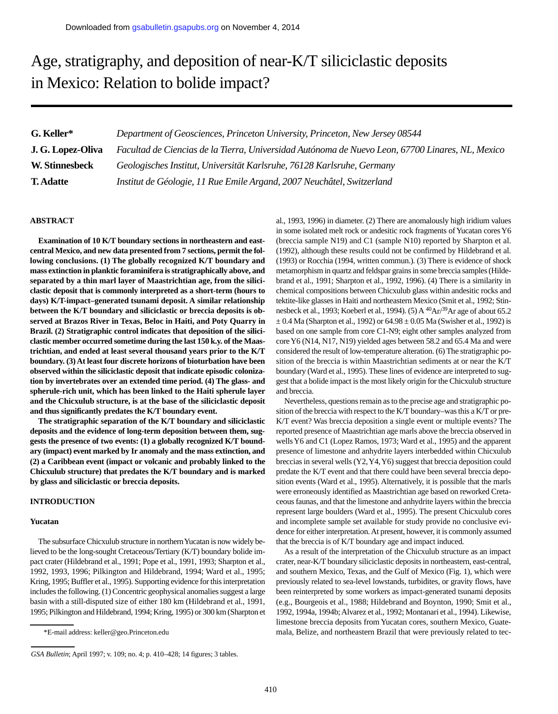# Age, stratigraphy, and deposition of near-K/T siliciclastic deposits in Mexico: Relation to bolide impact?

| G. Keller*        | Department of Geosciences, Princeton University, Princeton, New Jersey 08544                     |
|-------------------|--------------------------------------------------------------------------------------------------|
| J. G. Lopez-Oliva | Facultad de Ciencias de la Tierra, Universidad Autónoma de Nuevo Leon, 67700 Linares, NL, Mexico |
| W. Stinnesbeck    | Geologisches Institut, Universität Karlsruhe, 76128 Karlsruhe, Germany                           |
| <b>T.</b> Adatte  | Institut de Géologie, 11 Rue Emile Argand, 2007 Neuchâtel, Switzerland                           |

#### **ABSTRACT**

**Examination of 10 K/T boundary sections in northeastern and eastcentral Mexico, and new data presented from 7 sections, permit the following conclusions. (1) The globally recognized K/T boundary and mass extinction in planktic foraminifera is stratigraphically above, and separated by a thin marl layer of Maastrichtian age, from the siliciclastic deposit that is commonly interpreted as a short-term (hours to days) K/T-impact–generated tsunami deposit. A similar relationship between the K/T boundary and siliciclastic or breccia deposits is observed at Brazos River in Texas, Beloc in Haiti, and Poty Quarry in Brazil. (2) Stratigraphic control indicates that deposition of the siliciclastic member occurred sometime during the last 150 k.y. of the Maastrichtian, and ended at least several thousand years prior to the K/T boundary. (3) At least four discrete horizons of bioturbation have been observed within the siliciclastic deposit that indicate episodic colonization by invertebrates over an extended time period. (4) The glass- and spherule-rich unit, which has been linked to the Haiti spherule layer and the Chicxulub structure, is at the base of the siliciclastic deposit and thus significantly predates the K/T boundary event.**

**The stratigraphic separation of the K/T boundary and siliciclastic deposits and the evidence of long-term deposition between them, suggests the presence of two events: (1) a globally recognized K/T boundary (impact) event marked by Ir anomaly and the mass extinction, and (2) a Caribbean event (impact or volcanic and probably linked to the Chicxulub structure) that predates the K/T boundary and is marked by glass and siliciclastic or breccia deposits.**

#### **INTRODUCTION**

# **Yucatan**

The subsurface Chicxulub structure in northern Yucatan is now widely believed to be the long-sought Cretaceous/Tertiary (K/T) boundary bolide impact crater (Hildebrand et al., 1991; Pope et al., 1991, 1993; Sharpton et al., 1992, 1993, 1996; Pilkington and Hildebrand, 1994; Ward et al., 1995; Kring, 1995; Buffler et al., 1995). Supporting evidence for this interpretation includes the following. (1) Concentric geophysical anomalies suggest a large basin with a still-disputed size of either 180 km (Hildebrand et al., 1991, 1995; Pilkington and Hildebrand, 1994; Kring, 1995) or 300 km (Sharpton et

al., 1993, 1996) in diameter. (2) There are anomalously high iridium values in some isolated melt rock or andesitic rock fragments of Yucatan cores Y6 (breccia sample N19) and C1 (sample N10) reported by Sharpton et al. (1992), although these results could not be confirmed by Hildebrand et al. (1993) or Rocchia (1994, written commun.). (3) There is evidence of shock metamorphism in quartz and feldspar grains in some breccia samples (Hildebrand et al., 1991; Sharpton et al., 1992, 1996). (4) There is a similarity in chemical compositions between Chicxulub glass within andesitic rocks and tektite-like glasses in Haiti and northeastern Mexico (Smit et al., 1992; Stinnesbeck et al., 1993; Koeberl et al., 1994). (5) A  $^{40}Ar^{39}Ar$  age of about 65.2  $\pm$  0.4 Ma (Sharpton et al., 1992) or 64.98  $\pm$  0.05 Ma (Swisher et al., 1992) is based on one sample from core C1-N9; eight other samples analyzed from core Y6 (N14, N17, N19) yielded ages between 58.2 and 65.4 Ma and were considered the result of low-temperature alteration. (6) The stratigraphic position of the breccia is within Maastrichtian sediments at or near the K/T boundary (Ward et al., 1995). These lines of evidence are interpreted to suggest that a bolide impact is the most likely origin for the Chicxulub structure and breccia.

Nevertheless, questions remain as to the precise age and stratigraphic position of the breccia with respect to the K/T boundary–was this a K/T or pre-K/T event? Was breccia deposition a single event or multiple events? The reported presence of Maastrichtian age marls above the breccia observed in wells Y6 and C1 (Lopez Ramos, 1973; Ward et al., 1995) and the apparent presence of limestone and anhydrite layers interbedded within Chicxulub breccias in several wells (Y2,Y4,Y6) suggest that breccia deposition could predate the K/T event and that there could have been several breccia deposition events (Ward et al., 1995). Alternatively, it is possible that the marls were erroneously identified as Maastrichtian age based on reworked Cretaceous faunas, and that the limestone and anhydrite layers within the breccia represent large boulders (Ward et al., 1995). The present Chicxulub cores and incomplete sample set available for study provide no conclusive evidence for either interpretation. At present, however, it is commonly assumed that the breccia is of K/T boundary age and impact induced.

As a result of the interpretation of the Chicxulub structure as an impact crater, near-K/T boundary siliciclastic deposits in northeastern, east-central, and southern Mexico, Texas, and the Gulf of Mexico (Fig. 1), which were previously related to sea-level lowstands, turbidites, or gravity flows, have been reinterpreted by some workers as impact-generated tsunami deposits (e.g., Bourgeois et al., 1988; Hildebrand and Boynton, 1990; Smit et al., 1992, 1994a, 1994b; Alvarez et al., 1992; Montanari et al., 1994). Likewise, limestone breccia deposits from Yucatan cores, southern Mexico, Guatemala, Belize, and northeastern Brazil that were previously related to tec-

<sup>\*</sup>E-mail address: keller@geo.Princeton.edu

*GSA Bulletin*; April 1997; v. 109; no. 4; p. 410–428; 14 figures; 3 tables.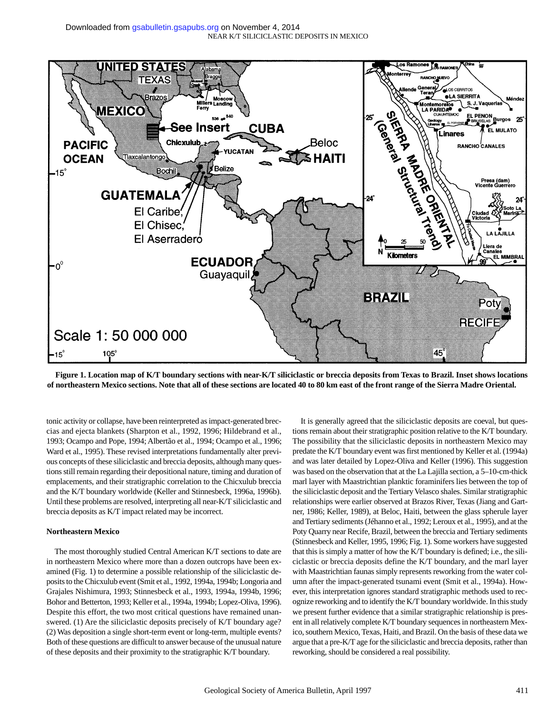

**Figure 1. Location map of K/T boundary sections with near-K/T siliciclastic or breccia deposits from Texas to Brazil. Inset shows locations of northeastern Mexico sections. Note that all of these sections are located 40 to 80 km east of the front range of the Sierra Madre Oriental.**

tonic activity or collapse, have been reinterpreted as impact-generated breccias and ejecta blankets (Sharpton et al., 1992, 1996; Hildebrand et al., 1993; Ocampo and Pope, 1994; Albertão et al., 1994; Ocampo et al., 1996; Ward et al., 1995). These revised interpretations fundamentally alter previous concepts of these siliciclastic and breccia deposits, although many questions still remain regarding their depositional nature, timing and duration of emplacements, and their stratigraphic correlation to the Chicxulub breccia and the K/T boundary worldwide (Keller and Stinnesbeck, 1996a, 1996b). Until these problems are resolved, interpreting all near-K/T siliciclastic and breccia deposits as K/T impact related may be incorrect.

## **Northeastern Mexico**

The most thoroughly studied Central American K/T sections to date are in northeastern Mexico where more than a dozen outcrops have been examined (Fig. 1) to determine a possible relationship of the siliciclastic deposits to the Chicxulub event (Smit et al., 1992, 1994a, 1994b; Longoria and Grajales Nishimura, 1993; Stinnesbeck et al., 1993, 1994a, 1994b, 1996; Bohor and Betterton, 1993; Keller et al., 1994a, 1994b; Lopez-Oliva, 1996). Despite this effort, the two most critical questions have remained unanswered. (1) Are the siliciclastic deposits precisely of K/T boundary age? (2) Was deposition a single short-term event or long-term, multiple events? Both of these questions are difficult to answer because of the unusual nature of these deposits and their proximity to the stratigraphic K/T boundary.

It is generally agreed that the siliciclastic deposits are coeval, but questions remain about their stratigraphic position relative to the K/T boundary. The possibility that the siliciclastic deposits in northeastern Mexico may predate the K/T boundary event was first mentioned by Keller et al. (1994a) and was later detailed by Lopez-Oliva and Keller (1996). This suggestion was based on the observation that at the La Lajilla section, a 5–10-cm-thick marl layer with Maastrichtian planktic foraminifers lies between the top of the siliciclastic deposit and the Tertiary Velasco shales. Similar stratigraphic relationships were earlier observed at Brazos River, Texas (Jiang and Gartner, 1986; Keller, 1989), at Beloc, Haiti, between the glass spherule layer and Tertiary sediments (Jéhanno et al., 1992; Leroux et al., 1995), and at the Poty Quarry near Recife, Brazil, between the breccia and Tertiary sediments (Stinnesbeck and Keller, 1995, 1996; Fig. 1). Some workers have suggested that this is simply a matter of how the K/T boundary is defined; i.e., the siliciclastic or breccia deposits define the K/T boundary, and the marl layer with Maastrichtian faunas simply represents reworking from the water column after the impact-generated tsunami event (Smit et al., 1994a). However, this interpretation ignores standard stratigraphic methods used to recognize reworking and to identify the K/T boundary worldwide. In this study we present further evidence that a similar stratigraphic relationship is present in all relatively complete K/T boundary sequences in northeastern Mexico, southern Mexico, Texas, Haiti, and Brazil. On the basis of these data we argue that a pre-K/T age for the siliciclastic and breccia deposits, rather than reworking, should be considered a real possibility.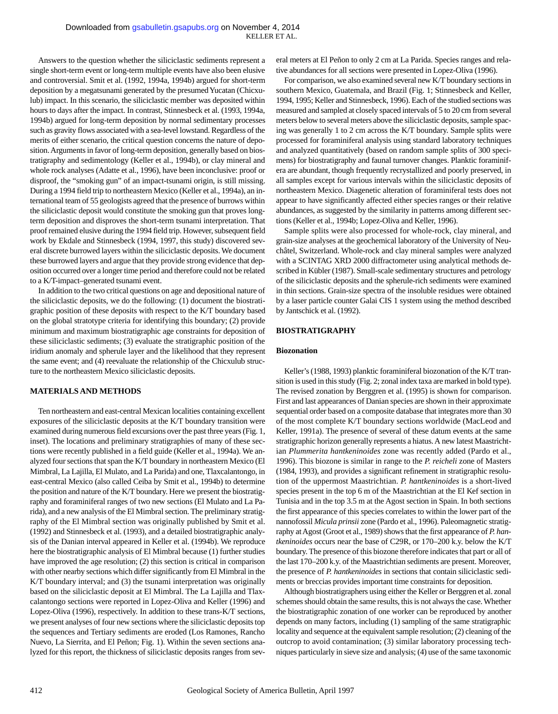Answers to the question whether the siliciclastic sediments represent a single short-term event or long-term multiple events have also been elusive and controversial. Smit et al. (1992, 1994a, 1994b) argued for short-term deposition by a megatsunami generated by the presumed Yucatan (Chicxulub) impact. In this scenario, the siliciclastic member was deposited within hours to days after the impact. In contrast, Stinnesbeck et al. (1993, 1994a, 1994b) argued for long-term deposition by normal sedimentary processes such as gravity flows associated with a sea-level lowstand. Regardless of the merits of either scenario, the critical question concerns the nature of deposition. Arguments in favor of long-term deposition, generally based on biostratigraphy and sedimentology (Keller et al., 1994b), or clay mineral and whole rock analyses (Adatte et al., 1996), have been inconclusive: proof or disproof, the "smoking gun" of an impact-tsunami origin, is still missing. During a 1994 field trip to northeastern Mexico (Keller et al., 1994a), an international team of 55 geologists agreed that the presence of burrows within the siliciclastic deposit would constitute the smoking gun that proves longterm deposition and disproves the short-term tsunami interpretation. That proof remained elusive during the 1994 field trip. However, subsequent field work by Ekdale and Stinnesbeck (1994, 1997, this study) discovered several discrete burrowed layers within the siliciclastic deposits. We document these burrowed layers and argue that they provide strong evidence that deposition occurred over a longer time period and therefore could not be related to a K/T-impact–generated tsunami event.

In addition to the two critical questions on age and depositional nature of the siliciclastic deposits, we do the following: (1) document the biostratigraphic position of these deposits with respect to the K/T boundary based on the global stratotype criteria for identifying this boundary; (2) provide minimum and maximum biostratigraphic age constraints for deposition of these siliciclastic sediments; (3) evaluate the stratigraphic position of the iridium anomaly and spherule layer and the likelihood that they represent the same event; and (4) reevaluate the relationship of the Chicxulub structure to the northeastern Mexico siliciclastic deposits.

## **MATERIALS AND METHODS**

Ten northeastern and east-central Mexican localities containing excellent exposures of the siliciclastic deposits at the K/T boundary transition were examined during numerous field excursions over the past three years (Fig. 1, inset). The locations and preliminary stratigraphies of many of these sections were recently published in a field guide (Keller et al., 1994a). We analyzed four sections that span the K/T boundary in northeastern Mexico (El Mimbral, La Lajilla, El Mulato, and La Parida) and one, Tlaxcalantongo, in east-central Mexico (also called Ceiba by Smit et al., 1994b) to determine the position and nature of the K/T boundary. Here we present the biostratigraphy and foraminiferal ranges of two new sections (El Mulato and La Parida), and a new analysis of the El Mimbral section. The preliminary stratigraphy of the El Mimbral section was originally published by Smit et al. (1992) and Stinnesbeck et al. (1993), and a detailed biostratigraphic analysis of the Danian interval appeared in Keller et al. (1994b). We reproduce here the biostratigraphic analysis of El Mimbral because (1) further studies have improved the age resolution; (2) this section is critical in comparison with other nearby sections which differ significantly from El Mimbral in the K/T boundary interval; and (3) the tsunami interpretation was originally based on the siliciclastic deposit at El Mimbral. The La Lajilla and Tlaxcalantongo sections were reported in Lopez-Oliva and Keller (1996) and Lopez-Oliva (1996), respectively. In addition to these trans-K/T sections, we present analyses of four new sections where the siliciclastic deposits top the sequences and Tertiary sediments are eroded (Los Ramones, Rancho Nuevo, La Sierrita, and El Peñon; Fig. 1). Within the seven sections analyzed for this report, the thickness of siliciclastic deposits ranges from several meters at El Peñon to only 2 cm at La Parida. Species ranges and relative abundances for all sections were presented in Lopez-Oliva (1996).

For comparison, we also examined several new K/T boundary sections in southern Mexico, Guatemala, and Brazil (Fig. 1; Stinnesbeck and Keller, 1994, 1995; Keller and Stinnesbeck, 1996). Each of the studied sections was measured and sampled at closely spaced intervals of 5 to 20 cm from several meters below to several meters above the siliciclastic deposits, sample spacing was generally 1 to 2 cm across the K/T boundary. Sample splits were processed for foraminiferal analysis using standard laboratory techniques and analyzed quantitatively (based on random sample splits of 300 specimens) for biostratigraphy and faunal turnover changes. Planktic foraminifera are abundant, though frequently recrystallized and poorly preserved, in all samples except for various intervals within the siliciclastic deposits of northeastern Mexico. Diagenetic alteration of foraminiferal tests does not appear to have significantly affected either species ranges or their relative abundances, as suggested by the similarity in patterns among different sections (Keller et al., 1994b; Lopez-Oliva and Keller, 1996).

Sample splits were also processed for whole-rock, clay mineral, and grain-size analyses at the geochemical laboratory of the University of Neuchâtel, Switzerland. Whole-rock and clay mineral samples were analyzed with a SCINTAG XRD 2000 diffractometer using analytical methods described in Kübler (1987). Small-scale sedimentary structures and petrology of the siliciclastic deposits and the spherule-rich sediments were examined in thin sections. Grain-size spectra of the insoluble residues were obtained by a laser particle counter Galai CIS 1 system using the method described by Jantschick et al. (1992).

#### **BIOSTRATIGRAPHY**

#### **Biozonation**

Keller's (1988, 1993) planktic foraminiferal biozonation of the K/T transition is used in this study (Fig. 2; zonal index taxa are marked in bold type). The revised zonation by Berggren et al. (1995) is shown for comparison. First and last appearances of Danian species are shown in their approximate sequential order based on a composite database that integrates more than 30 of the most complete K/T boundary sections worldwide (MacLeod and Keller, 1991a). The presence of several of these datum events at the same stratigraphic horizon generally represents a hiatus. A new latest Maastrichtian *Plummerita hantkeninoides* zone was recently added (Pardo et al., 1996). This biozone is similar in range to the *P. reicheli* zone of Masters (1984, 1993), and provides a significant refinement in stratigraphic resolution of the uppermost Maastrichtian. *P. hantkeninoides* is a short-lived species present in the top 6 m of the Maastrichtian at the El Kef section in Tunisia and in the top 3.5 m at the Agost section in Spain. In both sections the first appearance of this species correlates to within the lower part of the nannofossil *Micula prinsii* zone (Pardo et al., 1996). Paleomagnetic stratigraphy at Agost (Groot et al., 1989) shows that the first appearance of *P. hantkeninoides* occurs near the base of C29R, or 170–200 k.y. below the K/T boundary. The presence of this biozone therefore indicates that part or all of the last 170–200 k.y. of the Maastrichtian sediments are present. Moreover, the presence of *P. hantkeninoides* in sections that contain siliciclastic sediments or breccias provides important time constraints for deposition.

Although biostratigraphers using either the Keller or Berggren et al. zonal schemes should obtain the same results, this is not always the case. Whether the biostratigraphic zonation of one worker can be reproduced by another depends on many factors, including (1) sampling of the same stratigraphic locality and sequence at the equivalent sample resolution; (2) cleaning of the outcrop to avoid contamination; (3) similar laboratory processing techniques particularly in sieve size and analysis; (4) use of the same taxonomic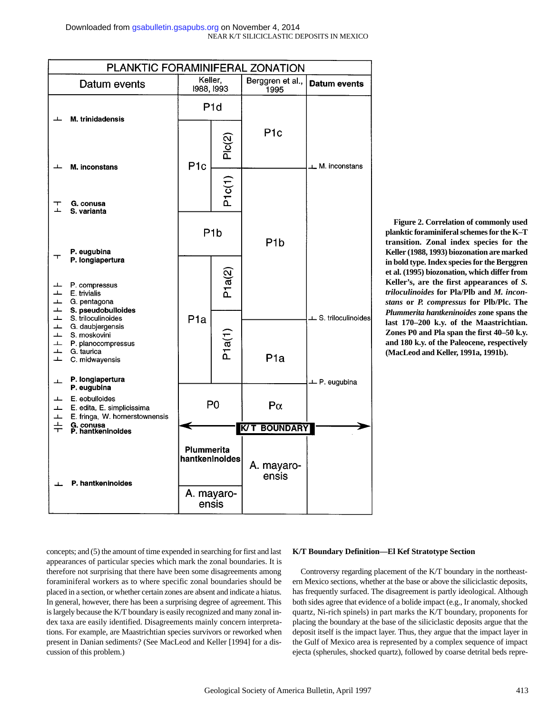| PLANKTIC FORAMINIFERAL ZONATION          |                                                                                |                     |                              |                     |                               |
|------------------------------------------|--------------------------------------------------------------------------------|---------------------|------------------------------|---------------------|-------------------------------|
|                                          | Keller,<br>Berggren et al.,<br>Datum events<br>1988, 1993<br>1995              |                     |                              |                     | <b>Datum events</b>           |
| M. trinidadensis                         |                                                                                | P <sub>1d</sub>     |                              |                     |                               |
|                                          |                                                                                |                     | Plc(2)                       | P <sub>1c</sub>     |                               |
|                                          | M. inconstans                                                                  | P <sub>1c</sub>     |                              |                     | M. inconstans                 |
| ┯<br>$\perp$                             | G. conusa<br>S. varianta                                                       |                     | P1c(1)                       |                     |                               |
|                                          |                                                                                |                     |                              |                     |                               |
|                                          |                                                                                | P <sub>1</sub> b    |                              | P <sub>1</sub> b    |                               |
|                                          | P. eugubina<br>P. longiapertura                                                |                     |                              |                     |                               |
| حالم<br>ᅩ<br>ᅩ                           | P. compressus<br>E. trivialis<br>$\perp$ G. pentagona<br>S. pseudobulloides    |                     | P <sub>1a(2)</sub>           |                     |                               |
| ᅩ<br>工                                   | S. triloculinoides<br>G. daubjergensis                                         | P <sub>1</sub> a    |                              |                     | ㅗ S. triloculinoides <b>l</b> |
| ᅩ<br>$\perp$<br>ᆠ<br>ᅩ                   | S. moskovini<br>P. planocompressus<br>G. taurica<br>C. midwayensis             |                     | P1a(1)                       | P <sub>1a</sub>     |                               |
| ᅩ                                        | P. longiapertura<br>P. eugubina                                                |                     |                              |                     | $\perp$ P. eugubina           |
| ᅩ<br>$\perp$<br>$\overline{\phantom{a}}$ | E. eobulloides<br>E. edita, E. simplicissima<br>E. fringa, W. hornerstownensis | P <sub>0</sub>      |                              | $P\alpha$           |                               |
| ᅩ<br>┯                                   | G. conusa<br>P. hantkeninoides                                                 |                     |                              | <b>K/T BOUNDARY</b> |                               |
|                                          | P. hantkeninoides                                                              |                     | Plummerita<br>hantkeninoides | A. mayaro-<br>ensis |                               |
|                                          |                                                                                | A. mayaro-<br>ensis |                              |                     |                               |

**Figure 2. Correlation of commonly used planktic foraminiferal schemes for the K–T transition. Zonal index species for the Keller (1988, 1993) biozonation are marked in bold type. Index species for the Berggren et al. (1995) biozonation, which differ from Keller's, are the first appearances of** *S. triloculinoides* **for Pla/Plb and** *M. inconstans* **or** *P. compressus* **for Plb/Plc. The** *Plummerita hantkeninoides* **zone spans the last 170–200 k.y. of the Maastrichtian. Zones P0 and Pla span the first 40–50 k.y. and 180 k.y. of the Paleocene, respectively (MacLeod and Keller, 1991a, 1991b).**

concepts; and (5) the amount of time expended in searching for first and last appearances of particular species which mark the zonal boundaries. It is therefore not surprising that there have been some disagreements among foraminiferal workers as to where specific zonal boundaries should be placed in a section, or whether certain zones are absent and indicate a hiatus. In general, however, there has been a surprising degree of agreement. This is largely because the K/T boundary is easily recognized and many zonal index taxa are easily identified. Disagreements mainly concern interpretations. For example, are Maastrichtian species survivors or reworked when present in Danian sediments? (See MacLeod and Keller [1994] for a discussion of this problem.)

#### **K/T Boundary Definition—El Kef Stratotype Section**

Controversy regarding placement of the K/T boundary in the northeastern Mexico sections, whether at the base or above the siliciclastic deposits, has frequently surfaced. The disagreement is partly ideological. Although both sides agree that evidence of a bolide impact (e.g., Ir anomaly, shocked quartz, Ni-rich spinels) in part marks the K/T boundary, proponents for placing the boundary at the base of the siliciclastic deposits argue that the deposit itself is the impact layer. Thus, they argue that the impact layer in the Gulf of Mexico area is represented by a complex sequence of impact ejecta (spherules, shocked quartz), followed by coarse detrital beds repre-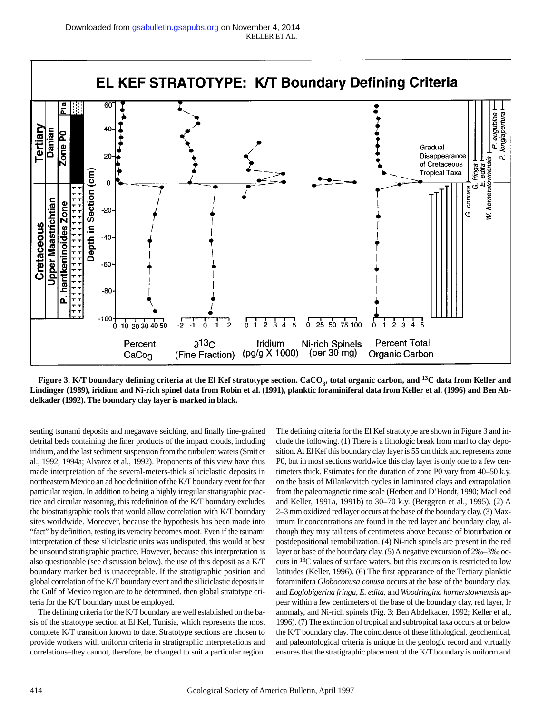

**Figure 3. K/T boundary defining criteria at the El Kef stratotype section. CaCO<sub>3</sub>, total organic carbon, and <sup>13</sup>C data from Keller and Lindinger (1989), iridium and Ni-rich spinel data from Robin et al. (1991), planktic foraminiferal data from Keller et al. (1996) and Ben Abdelkader (1992). The boundary clay layer is marked in black.**

senting tsunami deposits and megawave seiching, and finally fine-grained detrital beds containing the finer products of the impact clouds, including iridium, and the last sediment suspension from the turbulent waters (Smit et al., 1992, 1994a; Alvarez et al., 1992). Proponents of this view have thus made interpretation of the several-meters-thick siliciclastic deposits in northeastern Mexico an ad hoc definition of the K/T boundary event for that particular region. In addition to being a highly irregular stratigraphic practice and circular reasoning, this redefinition of the K/T boundary excludes the biostratigraphic tools that would allow correlation with K/T boundary sites worldwide. Moreover, because the hypothesis has been made into "fact" by definition, testing its veracity becomes moot. Even if the tsunami interpretation of these siliciclastic units was undisputed, this would at best be unsound stratigraphic practice. However, because this interpretation is also questionable (see discussion below), the use of this deposit as a K/T boundary marker bed is unacceptable. If the stratigraphic position and global correlation of the K/T boundary event and the siliciclastic deposits in the Gulf of Mexico region are to be determined, then global stratotype criteria for the K/T boundary must be employed.

The defining criteria for the K/T boundary are well established on the basis of the stratotype section at El Kef, Tunisia, which represents the most complete K/T transition known to date. Stratotype sections are chosen to provide workers with uniform criteria in stratigraphic interpretations and correlations–they cannot, therefore, be changed to suit a particular region.

The defining criteria for the El Kef stratotype are shown in Figure 3 and include the following. (1) There is a lithologic break from marl to clay deposition. At El Kef this boundary clay layer is 55 cm thick and represents zone P0, but in most sections worldwide this clay layer is only one to a few centimeters thick. Estimates for the duration of zone P0 vary from 40–50 k.y. on the basis of Milankovitch cycles in laminated clays and extrapolation from the paleomagnetic time scale (Herbert and D'Hondt, 1990; MacLeod and Keller, 1991a, 1991b) to 30–70 k.y. (Berggren et al., 1995). (2) A 2–3 mm oxidized red layer occurs at the base of the boundary clay. (3) Maximum Ir concentrations are found in the red layer and boundary clay, although they may tail tens of centimeters above because of bioturbation or postdepositional remobilization. (4) Ni-rich spinels are present in the red layer or base of the boundary clay. (5) A negative excursion of 2‰–3‰ occurs in 13C values of surface waters, but this excursion is restricted to low latitudes (Keller, 1996). (6) The first appearance of the Tertiary planktic foraminifera *Globoconusa conusa* occurs at the base of the boundary clay, and *Eoglobigerina fringa*, *E. edita*, and *Woodringina hornerstownensis* appear within a few centimeters of the base of the boundary clay, red layer, Ir anomaly, and Ni-rich spinels (Fig. 3; Ben Abdelkader, 1992; Keller et al., 1996). (7) The extinction of tropical and subtropical taxa occurs at or below the K/T boundary clay. The coincidence of these lithological, geochemical, and paleontological criteria is unique in the geologic record and virtually ensures that the stratigraphic placement of the K/T boundary is uniform and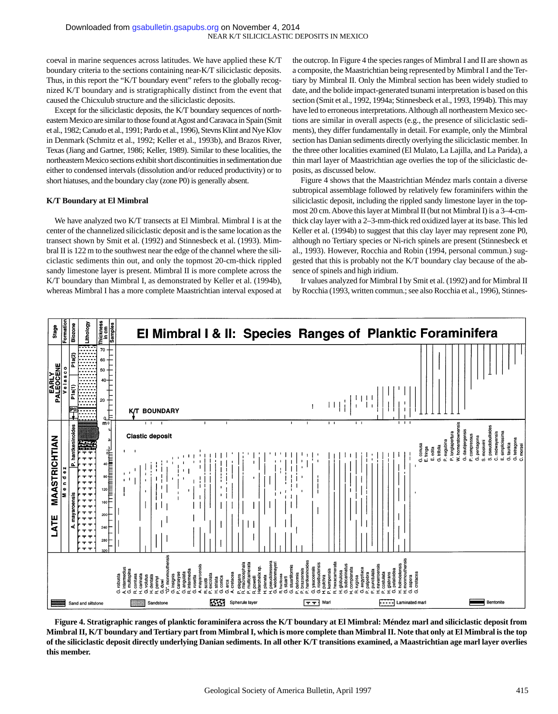coeval in marine sequences across latitudes. We have applied these K/T boundary criteria to the sections containing near-K/T siliciclastic deposits. Thus, in this report the "K/T boundary event" refers to the globally recognized K/T boundary and is stratigraphically distinct from the event that caused the Chicxulub structure and the siliciclastic deposits.

Except for the siliciclastic deposits, the K/T boundary sequences of northeastern Mexico are similar to those found at Agost and Caravaca in Spain (Smit et al., 1982; Canudo et al., 1991; Pardo et al., 1996), Stevns Klint and Nye Klov in Denmark (Schmitz et al., 1992; Keller et al., 1993b), and Brazos River, Texas (Jiang and Gartner, 1986; Keller, 1989). Similar to these localities, the northeastern Mexico sections exhibit short discontinuities in sedimentation due either to condensed intervals (dissolution and/or reduced productivity) or to short hiatuses, and the boundary clay (zone P0) is generally absent.

#### **K/T Boundary at El Mimbral**

We have analyzed two K/T transects at El Mimbral. Mimbral I is at the center of the channelized siliciclastic deposit and is the same location as the transect shown by Smit et al. (1992) and Stinnesbeck et al. (1993). Mimbral II is 122 m to the southwest near the edge of the channel where the siliciclastic sediments thin out, and only the topmost 20-cm-thick rippled sandy limestone layer is present. Mimbral II is more complete across the K/T boundary than Mimbral I, as demonstrated by Keller et al. (1994b), whereas Mimbral I has a more complete Maastrichtian interval exposed at the outcrop. In Figure 4 the species ranges of Mimbral I and II are shown as a composite, the Maastrichtian being represented by Mimbral I and the Tertiary by Mimbral II. Only the Mimbral section has been widely studied to date, and the bolide impact-generated tsunami interpretation is based on this section (Smit et al., 1992, 1994a; Stinnesbeck et al., 1993, 1994b). This may have led to erroneous interpretations. Although all northeastern Mexico sections are similar in overall aspects (e.g., the presence of siliciclastic sediments), they differ fundamentally in detail. For example, only the Mimbral section has Danian sediments directly overlying the siliciclastic member. In the three other localities examined (El Mulato, La Lajilla, and La Parida), a thin marl layer of Maastrichtian age overlies the top of the siliciclastic deposits, as discussed below.

Figure 4 shows that the Maastrichtian Méndez marls contain a diverse subtropical assemblage followed by relatively few foraminifers within the siliciclastic deposit, including the rippled sandy limestone layer in the topmost 20 cm. Above this layer at Mimbral II (but not Mimbral I) is a 3–4-cmthick clay layer with a 2–3-mm-thick red oxidized layer at its base. This led Keller et al. (1994b) to suggest that this clay layer may represent zone P0, although no Tertiary species or Ni-rich spinels are present (Stinnesbeck et al., 1993). However, Rocchia and Robin (1994, personal commun.) suggested that this is probably not the K/T boundary clay because of the absence of spinels and high iridium.

Ir values analyzed for Mimbral I by Smit et al. (1992) and for Mimbral II by Rocchia (1993, written commun.; see also Rocchia et al., 1996), Stinnes-



**Figure 4. Stratigraphic ranges of planktic foraminifera across the K/T boundary at El Mimbral: Méndez marl and siliciclastic deposit from Mimbral II, K/T boundary and Tertiary part from Mimbral I, which is more complete than Mimbral II. Note that only at El Mimbral is the top of the siliciclastic deposit directly underlying Danian sediments. In all other K/T transitions examined, a Maastrichtian age marl layer overlies this member.**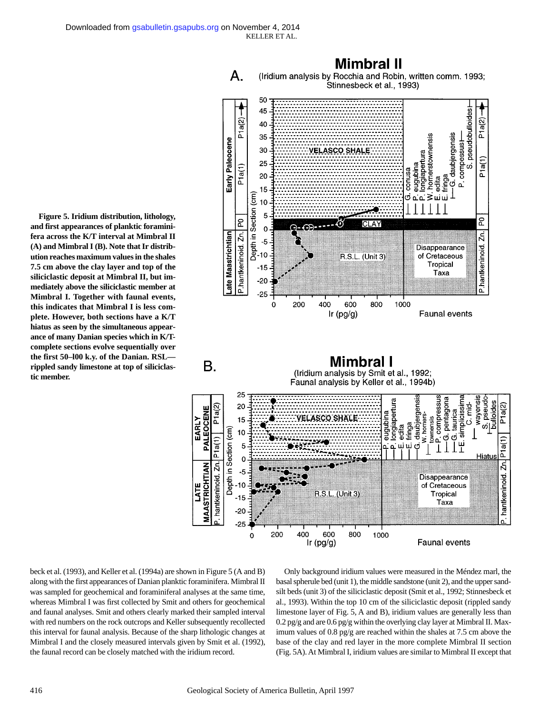**Mimbral II**  $\mathsf{A}_{\mathsf{L}}$ (Iridium analysis by Rocchia and Robin, written comm. 1993; Stinnesbeck et al., 1993) 50 45 S. pseudobulloides  $P1a(2)$  $P1a(2)$ 40 35 daubjergensis P. compessus-Early Paleocene nornerstownensi 30 **VELASCO SHALE** P1a(1) 25  $P1a(1)$ eugubina conusa 20 15 Ġ  $\widehat{\mathsf{E}}$  $10$ Depth in Section 5 S. **PO** CLAY  $\mathbf 0$ ate Maastrichtian P.hantkeninoid. Zn. P.hantkeninoid. Zn.  $-5$ **Disappearance**  $10$ of Cretaceous R.S.L. (Unit 3) Tropical  $-15$ Taxa  $-20$  $-25$ 1000 200 400 600 800  $\Omega$  $lr (pg/g)$ **Faunal events** Mimbral I В. (Iridium analysis by Smit et al., 1992; Faunal analysis by Keller et al., 1994b) 25  $\mathbf{R}$ wayensis  $rac{6}{2}$  pseudo pentagona pseudo daubjergensi 20 P1a(2) compress P<sub>1a(2)</sub> te<br>C. mid simpliciss longiapertu taurica PALEOCEN eugubina horners ASCO SHALE EARLY 15 townensis fringa edia Depth in Section (cm) 10 ග් Ġ P<sub>1a(1)</sub> έ ші 5 Ġ ய்ய <u>َم</u> **Hiatu** 0 MAASTRICHTIAN hantkeninoid. Zn. -5 **Disappearance** of Cretaceous R.S.L. (Unit 3) Tropical  $.16$ Taxa -20  $-25$ 200 400 600 800 1000  $\mathbf 0$ 

Ir (pg/g)

**Figure 5. Iridium distribution, lithology, and first appearances of planktic foraminifera across the K/T interval at Mimbral II (A) and Mimbral I (B). Note that Ir distribution reaches maximum values in the shales 7.5 cm above the clay layer and top of the siliciclastic deposit at Mimbral II, but immediately above the siliciclastic member at Mimbral I. Together with faunal events, this indicates that Mimbral I is less complete. However, both sections have a K/T hiatus as seen by the simultaneous appearance of many Danian species which in K/Tcomplete sections evolve sequentially over the first 50–l00 k.y. of the Danian. RSL rippled sandy limestone at top of siliciclastic member.**



P<sub>1a(1)</sub>

Zn.

hantkeninoid.

beck et al. (1993), and Keller et al. (1994a) are shown in Figure 5 (A and B) along with the first appearances of Danian planktic foraminifera. Mimbral II was sampled for geochemical and foraminiferal analyses at the same time, whereas Mimbral I was first collected by Smit and others for geochemical and faunal analyses. Smit and others clearly marked their sampled interval with red numbers on the rock outcrops and Keller subsequently recollected this interval for faunal analysis. Because of the sharp lithologic changes at Mimbral I and the closely measured intervals given by Smit et al. (1992), the faunal record can be closely matched with the iridium record.

Only background iridium values were measured in the Méndez marl, the basal spherule bed (unit 1), the middle sandstone (unit 2), and the upper sandsilt beds (unit 3) of the siliciclastic deposit (Smit et al., 1992; Stinnesbeck et al., 1993). Within the top 10 cm of the siliciclastic deposit (rippled sandy limestone layer of Fig. 5, A and B), iridium values are generally less than 0.2 pg/g and are 0.6 pg/g within the overlying clay layer at Mimbral II. Maximum values of 0.8 pg/g are reached within the shales at 7.5 cm above the base of the clay and red layer in the more complete Mimbral II section (Fig. 5A). At Mimbral I, iridium values are similar to Mimbral II except that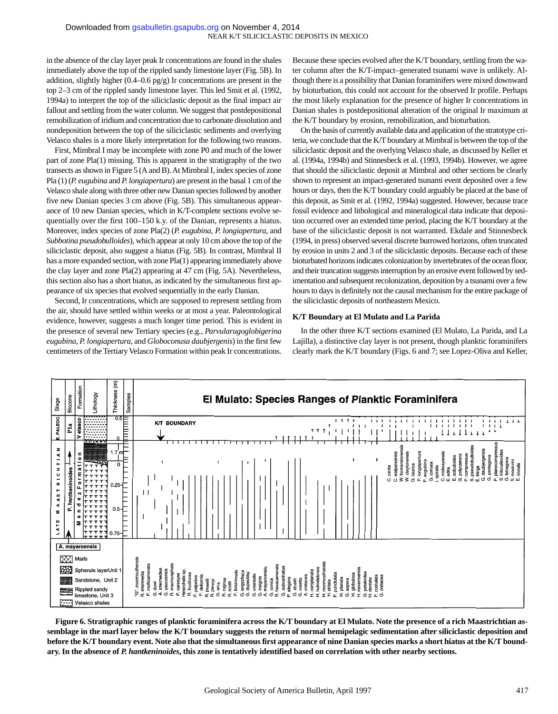in the absence of the clay layer peak Ir concentrations are found in the shales immediately above the top of the rippled sandy limestone layer (Fig. 5B). In addition, slightly higher (0.4–0.6 pg/g) Ir concentrations are present in the top 2–3 cm of the rippled sandy limestone layer. This led Smit et al. (1992, 1994a) to interpret the top of the siliciclastic deposit as the final impact air fallout and settling from the water column. We suggest that postdepositional remobilization of iridium and concentration due to carbonate dissolution and nondeposition between the top of the siliciclastic sediments and overlying Velasco shales is a more likely interpretation for the following two reasons.

First, Mimbral I may be incomplete with zone P0 and much of the lower part of zone Pla(1) missing. This is apparent in the stratigraphy of the two transects as shown in Figure 5 (A and B). At Mimbral I, index species of zone Pla (1) (*P. eugubina* and *P. longiapertura*) are present in the basal 1 cm of the Velasco shale along with three other new Danian species followed by another five new Danian species 3 cm above (Fig. 5B). This simultaneous appearance of 10 new Danian species, which in K/T-complete sections evolve sequentially over the first 100–150 k.y. of the Danian, represents a hiatus. Moreover, index species of zone Pla(2) (*P. eugubina*, *P. longiapertura*, and *Subbotina pseudobulloides*), which appear at only 10 cm above the top of the siliciclastic deposit, also suggest a hiatus (Fig. 5B). In contrast, Mimbral II has a more expanded section, with zone Pla(1) appearing immediately above the clay layer and zone Pla(2) appearing at 47 cm (Fig. 5A). Nevertheless, this section also has a short hiatus, as indicated by the simultaneous first appearance of six species that evolved sequentially in the early Danian.

Second, Ir concentrations, which are supposed to represent settling from the air, should have settled within weeks or at most a year. Paleontological evidence, however, suggests a much longer time period. This is evident in the presence of several new Tertiary species (e.g., *Parvularugoglobigerina eugubina*, *P. longiapertura*, and *Globoconusa daubjergenis*) in the first few centimeters of the Tertiary Velasco Formation within peak Ir concentrations.

Because these species evolved after the K/T boundary, settling from the water column after the K/T-impact–generated tsunami wave is unlikely. Although there is a possibility that Danian foraminifers were mixed downward by bioturbation, this could not account for the observed Ir profile. Perhaps the most likely explanation for the presence of higher Ir concentrations in Danian shales is postdepositional alteration of the original Ir maximum at the K/T boundary by erosion, remobilization, and bioturbation.

On the basis of currently available data and application of the stratotype criteria, we conclude that the K/T boundary at Mimbral is between the top of the siliciclastic deposit and the overlying Velasco shale, as discussed by Keller et al. (1994a, 1994b) and Stinnesbeck et al. (1993, 1994b). However, we agree that should the siliciclastic deposit at Mimbral and other sections be clearly shown to represent an impact-generated tsunami event deposited over a few hours or days, then the K/T boundary could arguably be placed at the base of this deposit, as Smit et al. (1992, 1994a) suggested. However, because trace fossil evidence and lithological and mineralogical data indicate that deposition occurred over an extended time period, placing the K/T boundary at the base of the siliciclastic deposit is not warranted. Ekdale and Stinnesbeck (1994, in press) observed several discrete burrowed horizons, often truncated by erosion in units 2 and 3 of the siliciclastic deposits. Because each of these bioturbated horizons indicates colonization by invertebrates of the ocean floor, and their truncation suggests interruption by an erosive event followed by sedimentation and subsequent recolonization, deposition by a tsunami over a few hours to days is definitely not the causal mechanism for the entire package of the siliciclastic deposits of northeastern Mexico.

#### **K/T Boundary at El Mulato and La Parida**

In the other three K/T sections examined (El Mulato, La Parida, and La Lajilla), a distinctive clay layer is not present, though planktic foraminifers clearly mark the K/T boundary (Figs. 6 and 7; see Lopez-Oliva and Keller,



**Figure 6. Stratigraphic ranges of planktic foraminifera across the K/T boundary at El Mulato. Note the presence of a rich Maastrichtian assemblage in the marl layer below the K/T boundary suggests the return of normal hemipelagic sedimentation after siliciclastic deposition and before the K/T boundary event. Note also that the simultaneous first appearance of nine Danian species marks a short hiatus at the K/T boundary. In the absence of** *P. hantkeninoides***, this zone is tentatively identified based on correlation with other nearby sections.**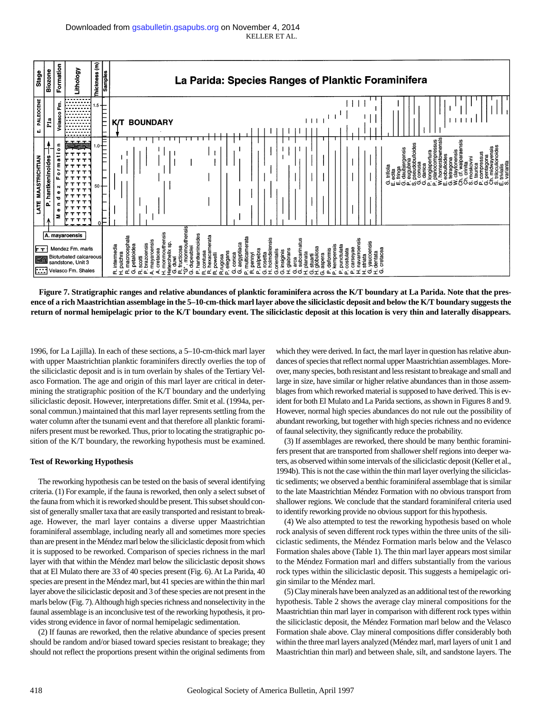

**Figure 7. Stratigraphic ranges and relative abundances of planktic foraminifera across the K/T boundary at La Parida. Note that the presence of a rich Maastrichtian assemblage in the 5–10-cm-thick marl layer above the siliciclastic deposit and below the K/T boundary suggests the return of normal hemipelagic prior to the K/T boundary event. The siliciclastic deposit at this location is very thin and laterally disappears.**

1996, for La Lajilla). In each of these sections, a 5–10-cm-thick marl layer with upper Maastrichtian planktic foraminifers directly overlies the top of the siliciclastic deposit and is in turn overlain by shales of the Tertiary Velasco Formation. The age and origin of this marl layer are critical in determining the stratigraphic position of the K/T boundary and the underlying siliciclastic deposit. However, interpretations differ. Smit et al. (1994a, personal commun.) maintained that this marl layer represents settling from the water column after the tsunami event and that therefore all planktic foraminifers present must be reworked. Thus, prior to locating the stratigraphic position of the K/T boundary, the reworking hypothesis must be examined.

#### **Test of Reworking Hypothesis**

The reworking hypothesis can be tested on the basis of several identifying criteria. (1) For example, if the fauna is reworked, then only a select subset of the fauna from which it is reworked should be present. This subset should consist of generally smaller taxa that are easily transported and resistant to breakage. However, the marl layer contains a diverse upper Maastrichtian foraminiferal assemblage, including nearly all and sometimes more species than are present in the Méndez marl below the siliciclastic deposit from which it is supposed to be reworked. Comparison of species richness in the marl layer with that within the Méndez marl below the siliciclastic deposit shows that at El Mulato there are 33 of 40 species present (Fig. 6). At La Parida, 40 species are present in the Méndez marl, but 41 species are within the thin marl layer above the siliciclastic deposit and 3 of these species are not present in the marls below (Fig. 7). Although high species richness and nonselectivity in the faunal assemblage is an inconclusive test of the reworking hypothesis, it provides strong evidence in favor of normal hemipelagic sedimentation.

(2) If faunas are reworked, then the relative abundance of species present should be random and/or biased toward species resistant to breakage; they should not reflect the proportions present within the original sediments from

which they were derived. In fact, the marl layer in question has relative abundances of species that reflect normal upper Maastrichtian assemblages. Moreover, many species, both resistant and less resistant to breakage and small and large in size, have similar or higher relative abundances than in those assemblages from which reworked material is supposed to have derived. This is evident for both El Mulato and La Parida sections, as shown in Figures 8 and 9. However, normal high species abundances do not rule out the possibility of abundant reworking, but together with high species richness and no evidence of faunal selectivity, they significantly reduce the probability.

(3) If assemblages are reworked, there should be many benthic foraminifers present that are transported from shallower shelf regions into deeper waters, as observed within some intervals of the siliciclastic deposit (Keller et al., 1994b). This is not the case within the thin marl layer overlying the siliciclastic sediments; we observed a benthic foraminiferal assemblage that is similar to the late Maastrichtian Méndez Formation with no obvious transport from shallower regions. We conclude that the standard foraminiferal criteria used to identify reworking provide no obvious support for this hypothesis.

(4) We also attempted to test the reworking hypothesis based on whole rock analysis of seven different rock types within the three units of the siliciclastic sediments, the Méndez Formation marls below and the Velasco Formation shales above (Table 1). The thin marl layer appears most similar to the Méndez Formation marl and differs substantially from the various rock types within the siliciclastic deposit. This suggests a hemipelagic origin similar to the Méndez marl.

(5) Clay minerals have been analyzed as an additional test of the reworking hypothesis. Table 2 shows the average clay mineral compositions for the Maastrichtian thin marl layer in comparison with different rock types within the siliciclastic deposit, the Méndez Formation marl below and the Velasco Formation shale above. Clay mineral compositions differ considerably both within the three marl layers analyzed (Méndez marl, marl layers of unit 1 and Maastrichtian thin marl) and between shale, silt, and sandstone layers. The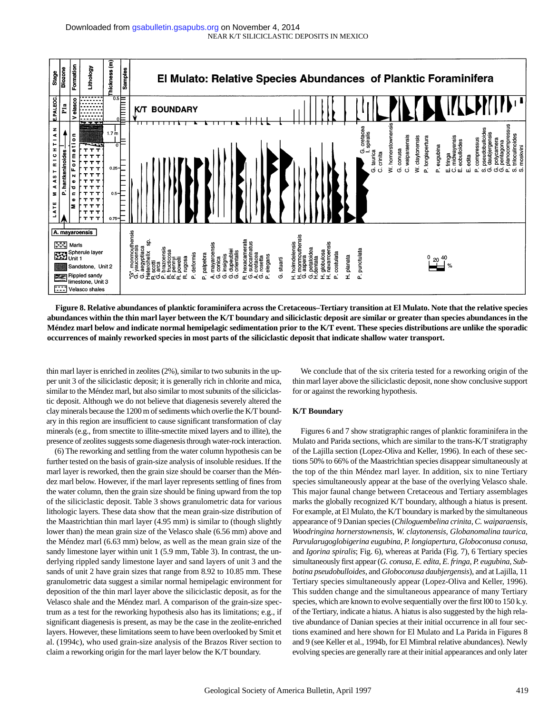

**Figure 8. Relative abundances of planktic foraminifera across the Cretaceous–Tertiary transition at El Mulato. Note that the relative species abundances within the thin marl layer between the K/T boundary and siliciclastic deposit are similar or greater than species abundances in the Méndez marl below and indicate normal hemipelagic sedimentation prior to the K/T event. These species distributions are unlike the sporadic occurrences of mainly reworked species in most parts of the siliciclastic deposit that indicate shallow water transport.**

thin marl layer is enriched in zeolites (2%), similar to two subunits in the upper unit 3 of the siliciclastic deposit; it is generally rich in chlorite and mica, similar to the Méndez marl, but also similar to most subunits of the siliciclastic deposit. Although we do not believe that diagenesis severely altered the clay minerals because the 1200 m of sediments which overlie the K/T boundary in this region are insufficient to cause significant transformation of clay minerals (e.g., from smectite to illite-smectite mixed layers and to illite), the presence of zeolites suggests some diagenesis through water-rock interaction.

(6) The reworking and settling from the water column hypothesis can be further tested on the basis of grain-size analysis of insoluble residues. If the marl layer is reworked, then the grain size should be coarser than the Méndez marl below. However, if the marl layer represents settling of fines from the water column, then the grain size should be fining upward from the top of the siliciclastic deposit. Table 3 shows granulometric data for various lithologic layers. These data show that the mean grain-size distribution of the Maastrichtian thin marl layer (4.95 mm) is similar to (though slightly lower than) the mean grain size of the Velasco shale (6.56 mm) above and the Méndez marl (6.63 mm) below, as well as the mean grain size of the sandy limestone layer within unit 1 (5.9 mm, Table 3). In contrast, the underlying rippled sandy limestone layer and sand layers of unit 3 and the sands of unit 2 have grain sizes that range from 8.92 to 10.85 mm. These granulometric data suggest a similar normal hemipelagic environment for deposition of the thin marl layer above the siliciclastic deposit, as for the Velasco shale and the Méndez marl. A comparison of the grain-size spectrum as a test for the reworking hypothesis also has its limitations; e.g., if significant diagenesis is present, as may be the case in the zeolite-enriched layers. However, these limitations seem to have been overlooked by Smit et al. (1994c), who used grain-size analysis of the Brazos River section to claim a reworking origin for the marl layer below the K/T boundary.

We conclude that of the six criteria tested for a reworking origin of the thin marl layer above the siliciclastic deposit, none show conclusive support for or against the reworking hypothesis.

#### **K/T Boundary**

Figures 6 and 7 show stratigraphic ranges of planktic foraminifera in the Mulato and Parida sections, which are similar to the trans-K/T stratigraphy of the Lajilla section (Lopez-Oliva and Keller, 1996). In each of these sections 50% to 66% of the Maastrichtian species disappear simultaneously at the top of the thin Méndez marl layer. In addition, six to nine Tertiary species simultaneously appear at the base of the overlying Velasco shale. This major faunal change between Cretaceous and Tertiary assemblages marks the globally recognized K/T boundary, although a hiatus is present. For example, at El Mulato, the K/T boundary is marked by the simultaneous appearance of 9 Danian species (*Chiloguembelina crinita*, *C. waiparaensis*, *Woodringina hornerstownensis*, *W. claytonensis*, *Globanomalina taurica*, *Parvularugoglobigerina eugubina*, *P. longiapertura*, *Globoconusa conusa*, and *Igorina spiralis*; Fig. 6), whereas at Parida (Fig. 7), 6 Tertiary species simultaneously first appear (*G. conusa*, *E. edita*, *E. fringa*, *P. eugubina*, *Subbotina pseudobulloides*, and *Globoconusa daubjergensis*), and at Lajilla, 11 Tertiary species simultaneously appear (Lopez-Oliva and Keller, 1996). This sudden change and the simultaneous appearance of many Tertiary species, which are known to evolve sequentially over the first l00 to 150 k.y. of the Tertiary, indicate a hiatus. A hiatus is also suggested by the high relative abundance of Danian species at their initial occurrence in all four sections examined and here shown for El Mulato and La Parida in Figures 8 and 9 (see Keller et al., 1994b, for El Mimbral relative abundances). Newly evolving species are generally rare at their initial appearances and only later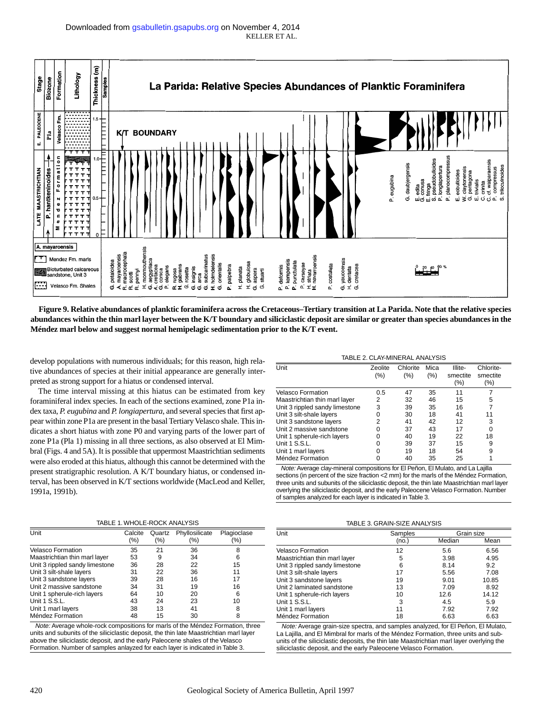

**Figure 9. Relative abundances of planktic foraminifera across the Cretaceous–Tertiary transition at La Parida. Note that the relative species abundances within the thin marl layer between the K/T boundary and siliciclastic deposit are similar or greater than species abundances in the Méndez marl below and suggest normal hemipelagic sedimentation prior to the K/T event.**

develop populations with numerous individuals; for this reason, high relative abundances of species at their initial appearance are generally interpreted as strong support for a hiatus or condensed interval.

The time interval missing at this hiatus can be estimated from key foraminiferal index species. In each of the sections examined, zone P1a index taxa, *P. eugubina* and *P. longiapertura*, and several species that first appear within zone P1a are present in the basal Tertiary Velasco shale. This indicates a short hiatus with zone P0 and varying parts of the lower part of zone P1a (Pla 1) missing in all three sections, as also observed at El Mimbral (Figs. 4 and 5A). It is possible that uppermost Maastrichtian sediments were also eroded at this hiatus, although this cannot be determined with the present stratigraphic resolution. A K/T boundary hiatus, or condensed interval, has been observed in K/T sections worldwide (MacLeod and Keller, 1991a, 1991b).

| TABLE 2. CLAY-MINERAL ANALYSIS |  |
|--------------------------------|--|
|--------------------------------|--|

| Unit                           | Zeolite<br>(%) | Chlorite<br>(%) | Mica<br>(%) | Illite-<br>smectite<br>(%) | Chlorite-<br>smectite<br>(%) |  |
|--------------------------------|----------------|-----------------|-------------|----------------------------|------------------------------|--|
| Velasco Formation              | 0.5            | 47              | 35          | 11                         |                              |  |
| Maastrichtian thin marl layer  | 2              | 32              | 46          | 15                         | 5                            |  |
| Unit 3 rippled sandy limestone | 3              | 39              | 35          | 16                         |                              |  |
| Unit 3 silt-shale layers       | 0              | 30              | 18          | 41                         | 11                           |  |
| Unit 3 sandstone layers        | 2              | 41              | 42          | 12                         | 3                            |  |
| Unit 2 massive sandstone       | 0              | 37              | 43          | 17                         | 0                            |  |
| Unit 1 spherule-rich layers    | 0              | 40              | 19          | 22                         | 18                           |  |
| Unit 1 S.S.L.                  | O              | 39              | 37          | 15                         | 9                            |  |
| Unit 1 marl layers             | 0              | 19              | 18          | 54                         | 9                            |  |
| Méndez Formation               |                | 40              | 35          | 25                         |                              |  |
|                                |                |                 |             |                            |                              |  |

Note: Average clay-mineral compositions for El Peñon, El Mulato, and La Lajilla sections (in percent of the size fraction <2 mm) for the marls of the Méndez Formation, three units and subunits of the siliciclastic deposit, the thin late Maastrichtian marl layer overlying the siliciclastic deposit, and the early Paleocene Velasco Formation. Number of samples analyzed for each layer is indicated in Table 3.

| IABLE 1. WHOLE-ROCK ANALYSIS |                   |                           |                    |  |  |
|------------------------------|-------------------|---------------------------|--------------------|--|--|
| Calcite<br>$(\% )$           | Quartz<br>$(\% )$ | Phyllosilicate<br>$(\% )$ | Plagioclase<br>(%) |  |  |
| 35                           | 21                | 36                        | 8                  |  |  |
| 53                           | 9                 | 34                        | 6                  |  |  |
| 36                           | 28                | 22                        | 15                 |  |  |
| 31                           | 22                | 36                        | 11                 |  |  |
| 39                           | 28                | 16                        | 17                 |  |  |
| 34                           | 31                | 19                        | 16                 |  |  |
| 64                           | 10                | 20                        | 6                  |  |  |
| 43                           | 24                | 23                        | 10                 |  |  |
| 38                           | 13                | 41                        | 8                  |  |  |
| 48                           | 15                | 30                        | 8                  |  |  |
|                              |                   |                           |                    |  |  |

 $\blacksquare$ .  $\blacksquare$ .  $\blacksquare$ .  $\blacksquare$ .  $\blacksquare$ .  $\blacksquare$ .  $\blacksquare$ .  $\blacksquare$ .  $\blacksquare$ .  $\blacksquare$ .  $\blacksquare$ .  $\blacksquare$ .  $\blacksquare$ .  $\blacksquare$ .  $\blacksquare$ .  $\blacksquare$ .  $\blacksquare$ .  $\blacksquare$ .  $\blacksquare$ .  $\blacksquare$ .  $\blacksquare$ .  $\blacksquare$ .  $\blacksquare$ .  $\blacksquare$ .  $\blacksquare$ .  $\blacksquare$ .  $\blacksquare$ .  $\blacksquare$ 

Note: Average whole-rock compositions for marls of the Méndez Formation, three units and subunits of the siliciclastic deposit, the thin late Maastrichtian marl layer above the siliciclastic deposit, and the early Paleocene shales of the Velasco Formation. Number of samples anlayzed for each layer is indicated in Table 3.

|  |  | TABLE 3. GRAIN-SIZE ANALYSIS |  |
|--|--|------------------------------|--|
|--|--|------------------------------|--|

| 17 19 LE 9. OI V 11 1 OI LE 7 11 17 1 LI OI O |         |        |            |  |  |
|-----------------------------------------------|---------|--------|------------|--|--|
| Unit                                          | Samples |        | Grain size |  |  |
|                                               | (no.)   | Median | Mean       |  |  |
| <b>Velasco Formation</b>                      | 12      | 5.6    | 6.56       |  |  |
| Maastrichtian thin marl layer                 | 5       | 3.98   | 4.95       |  |  |
| Unit 3 rippled sandy limestone                | 6       | 8.14   | 9.2        |  |  |
| Unit 3 silt-shale layers                      | 17      | 5.56   | 7.08       |  |  |
| Unit 3 sandstone layers                       | 19      | 9.01   | 10.85      |  |  |
| Unit 2 laminated sandstone                    | 13      | 7.09   | 8.92       |  |  |
| Unit 1 spherule-rich layers                   | 10      | 12.6   | 14.12      |  |  |
| Unit 1 S.S.L.                                 | 3       | 4.5    | 5.9        |  |  |
| Unit 1 marl layers                            | 11      | 7.92   | 7.92       |  |  |
| Méndez Formation                              | 18      | 6.63   | 6.63       |  |  |

Note: Average grain-size spectra, and samples analyzed, for El Peñon, El Mulato, La Lajilla, and El Mimbral for marls of the Méndez Formation, three units and subunits of the siliciclastic deposits, the thin late Maastrichtian marl layer overlying the siliciclastic deposit, and the early Paleocene Velasco Formation.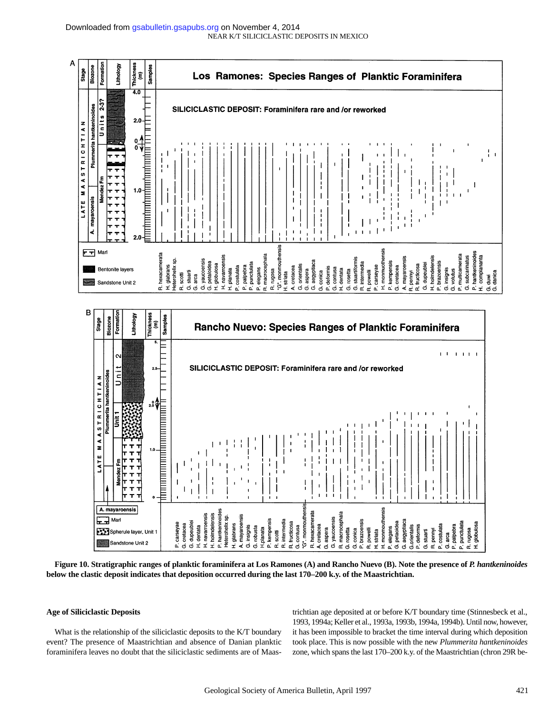

**Figure 10. Stratigraphic ranges of planktic foraminifera at Los Ramones (A) and Rancho Nuevo (B). Note the presence of** *P. hantkeninoides* **below the clastic deposit indicates that deposition occurred during the last 170–200 k.y. of the Maastrichtian.**

#### **Age of Siliciclastic Deposits**

What is the relationship of the siliciclastic deposits to the K/T boundary event? The presence of Maastrichtian and absence of Danian planktic foraminifera leaves no doubt that the siliciclastic sediments are of Maas-

trichtian age deposited at or before K/T boundary time (Stinnesbeck et al., 1993, 1994a; Keller et al., 1993a, 1993b, 1994a, 1994b). Until now, however, it has been impossible to bracket the time interval during which deposition took place. This is now possible with the new *Plummerita hantkeninoides* zone, which spans the last 170–200 k.y. of the Maastrichtian (chron 29R be-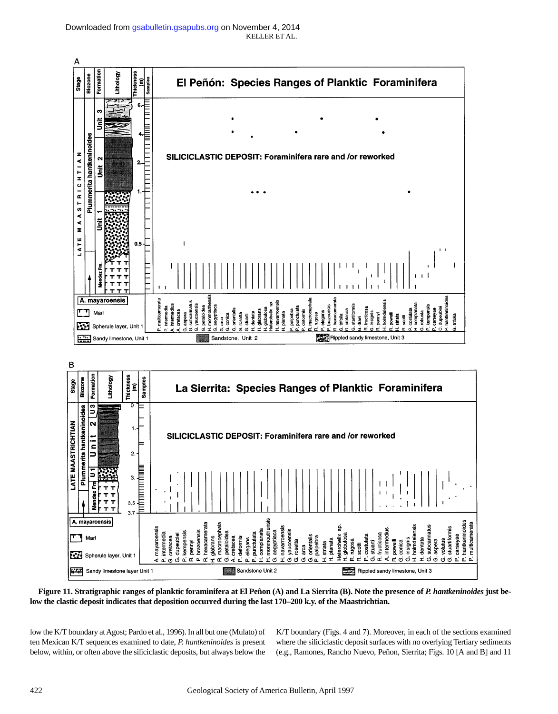KELLER ET AL. Downloaded from [gsabulletin.gsapubs.org](http://gsabulletin.gsapubs.org/) on November 4, 2014





**Figure 11. Stratigraphic ranges of planktic foraminifera at El Peñon (A) and La Sierrita (B). Note the presence of** *P. hantkeninoides* **just below the clastic deposit indicates that deposition occurred during the last 170–200 k.y. of the Maastrichtian.**

low the K/T boundary at Agost; Pardo et al., 1996). In all but one (Mulato) of ten Mexican K/T sequences examined to date, *P. hantkeninoides* is present below, within, or often above the siliciclastic deposits, but always below the

K/T boundary (Figs. 4 and 7). Moreover, in each of the sections examined where the siliciclastic deposit surfaces with no overlying Tertiary sediments (e.g., Ramones, Rancho Nuevo, Peñon, Sierrita; Figs. 10 [A and B] and 11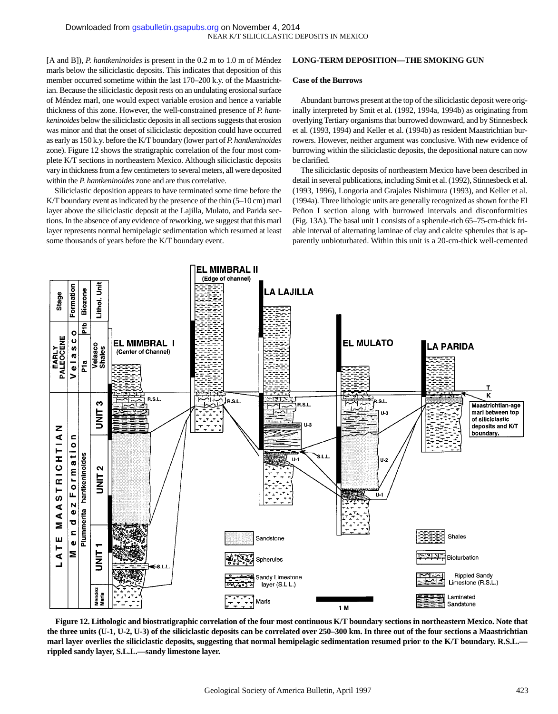[A and B]), *P. hantkeninoides* is present in the 0.2 m to 1.0 m of Méndez marls below the siliciclastic deposits. This indicates that deposition of this member occurred sometime within the last 170–200 k.y. of the Maastrichtian. Because the siliciclastic deposit rests on an undulating erosional surface of Méndez marl, one would expect variable erosion and hence a variable thickness of this zone. However, the well-constrained presence of *P. hantkeninoides* below the siliciclastic deposits in all sections suggests that erosion was minor and that the onset of siliciclastic deposition could have occurred as early as 150 k.y. before the K/T boundary (lower part of *P. hantkeninoides* zone). Figure 12 shows the stratigraphic correlation of the four most complete K/T sections in northeastern Mexico. Although siliciclastic deposits vary in thickness from a few centimeters to several meters, all were deposited within the *P. hantkeninoides* zone and are thus correlative.

Siliciclastic deposition appears to have terminated some time before the K/T boundary event as indicated by the presence of the thin (5–10 cm) marl layer above the siliciclastic deposit at the Lajilla, Mulato, and Parida sections. In the absence of any evidence of reworking, we suggest that this marl layer represents normal hemipelagic sedimentation which resumed at least some thousands of years before the K/T boundary event.

# **LONG-TERM DEPOSITION—THE SMOKING GUN**

#### **Case of the Burrows**

Abundant burrows present at the top of the siliciclastic deposit were originally interpreted by Smit et al. (1992, 1994a, 1994b) as originating from overlying Tertiary organisms that burrowed downward, and by Stinnesbeck et al. (1993, 1994) and Keller et al. (1994b) as resident Maastrichtian burrowers. However, neither argument was conclusive. With new evidence of burrowing within the siliciclastic deposits, the depositional nature can now be clarified.

The siliciclastic deposits of northeastern Mexico have been described in detail in several publications, including Smit et al. (1992), Stinnesbeck et al. (1993, 1996), Longoria and Grajales Nishimura (1993), and Keller et al. (1994a). Three lithologic units are generally recognized as shown for the El Peñon I section along with burrowed intervals and disconformities (Fig. 13A). The basal unit 1 consists of a spherule-rich 65–75-cm-thick friable interval of alternating laminae of clay and calcite spherules that is apparently unbioturbated. Within this unit is a 20-cm-thick well-cemented



**Figure 12. Lithologic and biostratigraphic correlation of the four most continuous K/T boundary sections in northeastern Mexico. Note that the three units (U-1, U-2, U-3) of the siliciclastic deposits can be correlated over 250–300 km. In three out of the four sections a Maastrichtian marl layer overlies the siliciclastic deposits, suggesting that normal hemipelagic sedimentation resumed prior to the K/T boundary. R.S.L. rippled sandy layer, S.L.L.—sandy limestone layer.**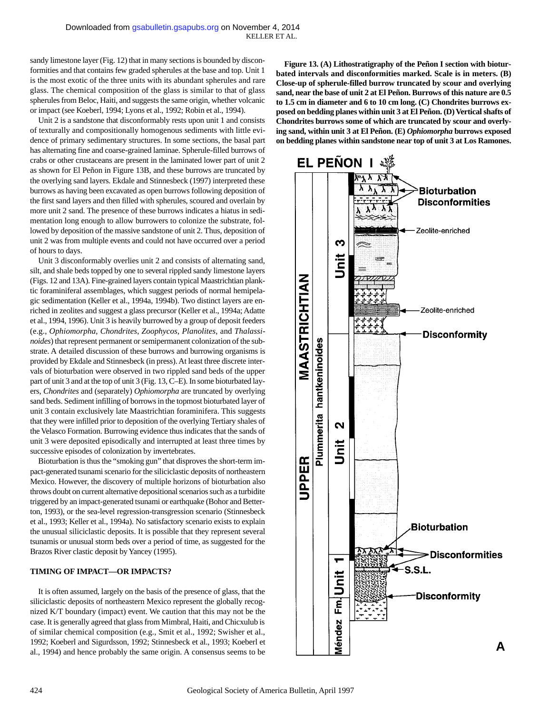sandy limestone layer (Fig. 12) that in many sections is bounded by disconformities and that contains few graded spherules at the base and top. Unit 1 is the most exotic of the three units with its abundant spherules and rare glass. The chemical composition of the glass is similar to that of glass spherules from Beloc, Haiti, and suggests the same origin, whether volcanic or impact (see Koeberl, 1994; Lyons et al., 1992; Robin et al., 1994).

Unit 2 is a sandstone that disconformably rests upon unit 1 and consists of texturally and compositionally homogenous sediments with little evidence of primary sedimentary structures. In some sections, the basal part has alternating fine and coarse-grained laminae. Spherule-filled burrows of crabs or other crustaceans are present in the laminated lower part of unit 2 as shown for El Peñon in Figure 13B, and these burrows are truncated by the overlying sand layers. Ekdale and Stinnesbeck (1997) interpreted these burrows as having been excavated as open burrows following deposition of the first sand layers and then filled with spherules, scoured and overlain by more unit 2 sand. The presence of these burrows indicates a hiatus in sedimentation long enough to allow burrowers to colonize the substrate, followed by deposition of the massive sandstone of unit 2. Thus, deposition of unit 2 was from multiple events and could not have occurred over a period of hours to days.

Unit 3 disconformably overlies unit 2 and consists of alternating sand, silt, and shale beds topped by one to several rippled sandy limestone layers (Figs. 12 and 13A). Fine-grained layers contain typical Maastrichtian planktic foraminiferal assemblages, which suggest periods of normal hemipelagic sedimentation (Keller et al., 1994a, 1994b). Two distinct layers are enriched in zeolites and suggest a glass precursor (Keller et al., 1994a; Adatte et al., 1994, 1996). Unit 3 is heavily burrowed by a group of deposit feeders (e.g., *Ophiomorpha*, *Chondrites*, *Zoophycos*, *Planolites*, and *Thalassinoides*) that represent permanent or semipermanent colonization of the substrate. A detailed discussion of these burrows and burrowing organisms is provided by Ekdale and Stinnesbeck (in press). At least three discrete intervals of bioturbation were observed in two rippled sand beds of the upper part of unit 3 and at the top of unit 3 (Fig. 13, C–E). In some bioturbated layers, *Chondrites* and (separately) *Ophiomorpha* are truncated by overlying sand beds. Sediment infilling of borrows in the topmost bioturbated layer of unit 3 contain exclusively late Maastrichtian foraminifera. This suggests that they were infilled prior to deposition of the overlying Tertiary shales of the Velasco Formation. Burrowing evidence thus indicates that the sands of unit 3 were deposited episodically and interrupted at least three times by successive episodes of colonization by invertebrates.

Bioturbation is thus the "smoking gun" that disproves the short-term impact-generated tsunami scenario for the siliciclastic deposits of northeastern Mexico. However, the discovery of multiple horizons of bioturbation also throws doubt on current alternative depositional scenarios such as a turbidite triggered by an impact-generated tsunami or earthquake (Bohor and Betterton, 1993), or the sea-level regression-transgression scenario (Stinnesbeck et al., 1993; Keller et al., 1994a). No satisfactory scenario exists to explain the unusual siliciclastic deposits. It is possible that they represent several tsunamis or unusual storm beds over a period of time, as suggested for the Brazos River clastic deposit by Yancey (1995).

# **TIMING OF IMPACT—OR IMPACTS?**

It is often assumed, largely on the basis of the presence of glass, that the siliciclastic deposits of northeastern Mexico represent the globally recognized K/T boundary (impact) event. We caution that this may not be the case. It is generally agreed that glass from Mimbral, Haiti, and Chicxulub is of similar chemical composition (e.g., Smit et al., 1992; Swisher et al., 1992; Koeberl and Sigurdsson, 1992; Stinnesbeck et al., 1993; Koeberl et al., 1994) and hence probably the same origin. A consensus seems to be

**Figure 13. (A) Lithostratigraphy of the Peñon I section with bioturbated intervals and disconformities marked. Scale is in meters. (B) Close-up of spherule-filled burrow truncated by scour and overlying sand, near the base of unit 2 at El Peñon. Burrows of this nature are 0.5 to 1.5 cm in diameter and 6 to 10 cm long. (C) Chondrites burrows exposed on bedding planes within unit 3 at El Peñon. (D) Vertical shafts of Chondrites burrows some of which are truncated by scour and overlying sand, within unit 3 at El Peñon. (E)** *Ophiomorpha* **burrows exposed on bedding planes within sandstone near top of unit 3 at Los Ramones.**

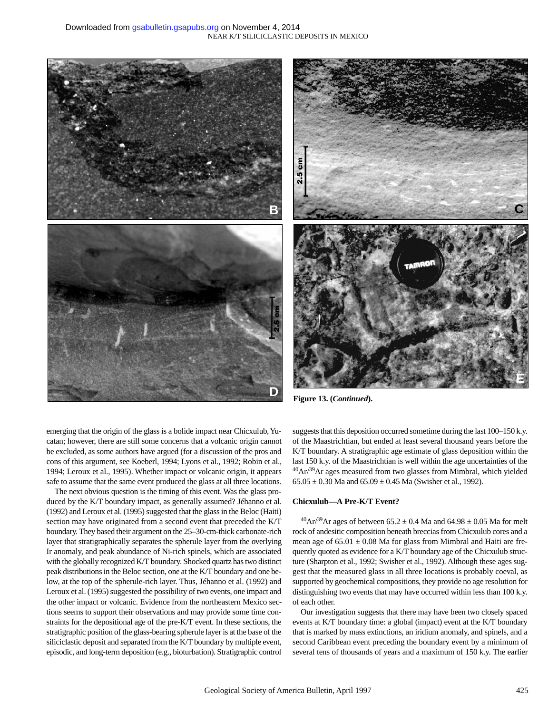



**Figure 13. (***Continued***).**

emerging that the origin of the glass is a bolide impact near Chicxulub,Yucatan; however, there are still some concerns that a volcanic origin cannot be excluded, as some authors have argued (for a discussion of the pros and cons of this argument, see Koeberl, 1994; Lyons et al., 1992; Robin et al., 1994; Leroux et al., 1995). Whether impact or volcanic origin, it appears safe to assume that the same event produced the glass at all three locations.

The next obvious question is the timing of this event. Was the glass produced by the K/T boundary impact, as generally assumed? Jéhanno et al. (1992) and Leroux et al. (1995) suggested that the glass in the Beloc (Haiti) section may have originated from a second event that preceded the K/T boundary. They based their argument on the 25–30-cm-thick carbonate-rich layer that stratigraphically separates the spherule layer from the overlying Ir anomaly, and peak abundance of Ni-rich spinels, which are associated with the globally recognized K/T boundary. Shocked quartz has two distinct peak distributions in the Beloc section, one at the K/T boundary and one below, at the top of the spherule-rich layer. Thus, Jéhanno et al. (1992) and Leroux et al. (1995) suggested the possibility of two events, one impact and the other impact or volcanic. Evidence from the northeastern Mexico sections seems to support their observations and may provide some time constraints for the depositional age of the pre-K/T event. In these sections, the stratigraphic position of the glass-bearing spherule layer is at the base of the siliciclastic deposit and separated from the K/T boundary by multiple event, episodic, and long-term deposition (e.g., bioturbation). Stratigraphic control

suggests that this deposition occurred sometime during the last 100–150 k.y. of the Maastrichtian, but ended at least several thousand years before the K/T boundary. A stratigraphic age estimate of glass deposition within the last 150 k.y. of the Maastrichtian is well within the age uncertainties of the  $^{40}Ar^{39}Ar$  ages measured from two glasses from Mimbral, which yielded  $65.05 \pm 0.30$  Ma and  $65.09 \pm 0.45$  Ma (Swisher et al., 1992).

#### **Chicxulub—A Pre-K/T Event?**

<sup>40</sup>Ar/<sup>39</sup>Ar ages of between 65.2  $\pm$  0.4 Ma and 64.98  $\pm$  0.05 Ma for melt rock of andesitic composition beneath breccias from Chicxulub cores and a mean age of  $65.01 \pm 0.08$  Ma for glass from Mimbral and Haiti are frequently quoted as evidence for a K/T boundary age of the Chicxulub structure (Sharpton et al., 1992; Swisher et al., 1992). Although these ages suggest that the measured glass in all three locations is probably coeval, as supported by geochemical compositions, they provide no age resolution for distinguishing two events that may have occurred within less than 100 k.y. of each other.

Our investigation suggests that there may have been two closely spaced events at K/T boundary time: a global (impact) event at the K/T boundary that is marked by mass extinctions, an iridium anomaly, and spinels, and a second Caribbean event preceding the boundary event by a minimum of several tens of thousands of years and a maximum of 150 k.y. The earlier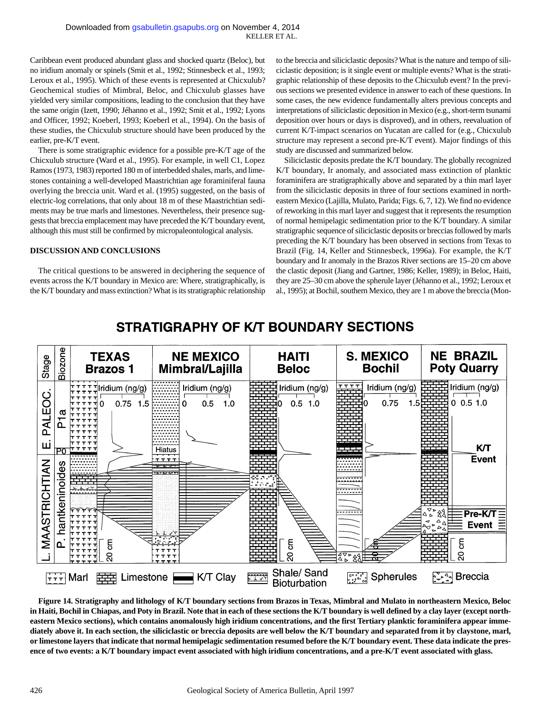Caribbean event produced abundant glass and shocked quartz (Beloc), but no iridium anomaly or spinels (Smit et al., 1992; Stinnesbeck et al., 1993; Leroux et al., 1995). Which of these events is represented at Chicxulub? Geochemical studies of Mimbral, Beloc, and Chicxulub glasses have yielded very similar compositions, leading to the conclusion that they have the same origin (Izett, 1990; Jéhanno et al., 1992; Smit et al., 1992; Lyons and Officer, 1992; Koeberl, 1993; Koeberl et al., 1994). On the basis of these studies, the Chicxulub structure should have been produced by the earlier, pre-K/T event.

There is some stratigraphic evidence for a possible pre-K/T age of the Chicxulub structure (Ward et al., 1995). For example, in well C1, Lopez Ramos (1973, 1983) reported 180 m of interbedded shales, marls, and limestones containing a well-developed Maastrichtian age foraminiferal fauna overlying the breccia unit. Ward et al. (1995) suggested, on the basis of electric-log correlations, that only about 18 m of these Maastrichtian sediments may be true marls and limestones. Nevertheless, their presence suggests that breccia emplacement may have preceded the K/T boundary event, although this must still be confirmed by micropaleontological analysis.

## **DISCUSSION AND CONCLUSIONS**

The critical questions to be answered in deciphering the sequence of events across the K/T boundary in Mexico are: Where, stratigraphically, is the K/T boundary and mass extinction? What is its stratigraphic relationship to the breccia and siliciclastic deposits? What is the nature and tempo of siliciclastic deposition; is it single event or multiple events? What is the stratigraphic relationship of these deposits to the Chicxulub event? In the previous sections we presented evidence in answer to each of these questions. In some cases, the new evidence fundamentally alters previous concepts and interpretations of siliciclastic deposition in Mexico (e.g., short-term tsunami deposition over hours or days is disproved), and in others, reevaluation of current K/T-impact scenarios on Yucatan are called for (e.g., Chicxulub structure may represent a second pre-K/T event). Major findings of this study are discussed and summarized below.

Siliciclastic deposits predate the K/T boundary. The globally recognized K/T boundary, Ir anomaly, and associated mass extinction of planktic foraminifera are stratigraphically above and separated by a thin marl layer from the siliciclastic deposits in three of four sections examined in northeastern Mexico (Lajilla, Mulato, Parida; Figs. 6, 7, 12). We find no evidence of reworking in this marl layer and suggest that it represents the resumption of normal hemipelagic sedimentation prior to the K/T boundary. A similar stratigraphic sequence of siliciclastic deposits or breccias followed by marls preceding the K/T boundary has been observed in sections from Texas to Brazil (Fig. 14, Keller and Stinnesbeck, 1996a). For example, the K/T boundary and Ir anomaly in the Brazos River sections are 15–20 cm above the clastic deposit (Jiang and Gartner, 1986; Keller, 1989); in Beloc, Haiti, they are 25–30 cm above the spherule layer (Jéhanno et al., 1992; Leroux et al., 1995); at Bochil, southern Mexico, they are 1 m above the breccia (Mon-



# STRATIGRAPHY OF K/T BOUNDARY SECTIONS

**Figure 14. Stratigraphy and lithology of K/T boundary sections from Brazos in Texas, Mimbral and Mulato in northeastern Mexico, Beloc in Haiti, Bochil in Chiapas, and Poty in Brazil. Note that in each of these sections the K/T boundary is well defined by a clay layer (except northeastern Mexico sections), which contains anomalously high iridium concentrations, and the first Tertiary planktic foraminifera appear immediately above it. In each section, the siliciclastic or breccia deposits are well below the K/T boundary and separated from it by claystone, marl, or limestone layers that indicate that normal hemipelagic sedimentation resumed before the K/T boundary event. These data indicate the presence of two events: a K/T boundary impact event associated with high iridium concentrations, and a pre-K/T event associated with glass.**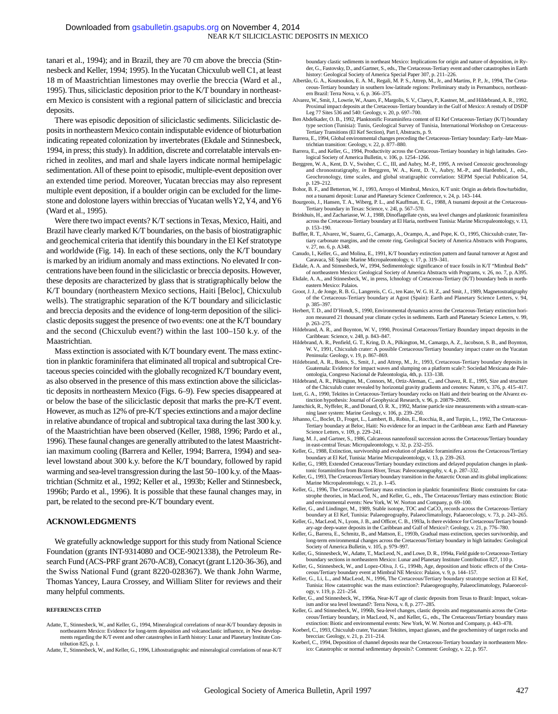tanari et al., 1994); and in Brazil, they are 70 cm above the breccia (Stinnesbeck and Keller, 1994; 1995). In the Yucatan Chicxulub well C1, at least 18 m of Maastrichtian limestones may overlie the breccia (Ward et al., 1995). Thus, siliciclastic deposition prior to the K/T boundary in northeastern Mexico is consistent with a regional pattern of siliciclastic and breccia deposits.

There was episodic deposition of siliciclastic sediments. Siliciclastic deposits in northeastern Mexico contain indisputable evidence of bioturbation indicating repeated colonization by invertebrates (Ekdale and Stinnesbeck, 1994, in press; this study). In addition, discrete and correlatable intervals enriched in zeolites, and marl and shale layers indicate normal hemipelagic sedimentation. All of these point to episodic, multiple-event deposition over an extended time period. Moreover, Yucatan breccias may also represent multiple event deposition, if a boulder origin can be excluded for the limestone and dolostone layers within breccias of Yucatan wells Y2,Y4, and Y6 (Ward et al., 1995).

Were there two impact events? K/T sections in Texas, Mexico, Haiti, and Brazil have clearly marked K/T boundaries, on the basis of biostratigraphic and geochemical criteria that identify this boundary in the El Kef stratotype and worldwide (Fig. 14). In each of these sections, only the K/T boundary is marked by an iridium anomaly and mass extinctions. No elevated Ir concentrations have been found in the siliciclastic or breccia deposits. However, these deposits are characterized by glass that is stratigraphically below the K/T boundary (northeastern Mexico sections, Haiti [Beloc], Chicxulub wells). The stratigraphic separation of the K/T boundary and siliciclastic and breccia deposits and the evidence of long-term deposition of the siliciclastic deposits suggest the presence of two events: one at the K/T boundary and the second (Chicxulub event?) within the last 100–150 k.y. of the Maastrichtian.

Mass extinction is associated with K/T boundary event. The mass extinction in planktic foraminifera that eliminated all tropical and subtropical Cretaceous species coincided with the globally recognized K/T boundary event, as also observed in the presence of this mass extinction above the siliciclastic deposits in northeastern Mexico (Figs. 6–9). Few species disappeared at or below the base of the siliciclastic deposit that marks the pre-K/T event. However, as much as 12% of pre-K/T species extinctions and a major decline in relative abundance of tropical and subtropical taxa during the last 300 k.y. of the Maastrichtian have been observed (Keller, 1988, 1996; Pardo et al., 1996). These faunal changes are generally attributed to the latest Maastrichtian maximum cooling (Barrera and Keller, 1994; Barrera, 1994) and sealevel lowstand about 300 k.y. before the K/T boundary, followed by rapid warming and sea-level transgression during the last 50–100 k.y. of the Maastrichtian (Schmitz et al., 1992; Keller et al., 1993b; Keller and Stinnesbeck, 1996b; Pardo et al., 1996). It is possible that these faunal changes may, in part, be related to the second pre-K/T boundary event.

#### **ACKNOWLEDGMENTS**

We gratefully acknowledge support for this study from National Science Foundation (grants INT-9314080 and OCE-9021338), the Petroleum Research Fund (ACS-PRF grant 2670-AC8), Conacyt (grant L120-36-36), and the Swiss National Fund (grant 8220-028367). We thank John Warme, Thomas Yancey, Laura Crossey, and William Sliter for reviews and their many helpful comments.

#### **REFERENCES CITED**

boundary clastic sediments in northeast Mexico: Implications for origin and nature of deposition, *in* Ryder, G., Fastovsky, D., and Gartner, S., eds., The Cretaceous-Tertiary event and other catastrophes in Earth history: Geological Society of America Special Paper 307, p. 211–226.

- Albertão, G. A., Koutsoukos, E. A. M., Regali, M. P. S., Attrep, M., Jr., and Martins, P. P., Jr., 1994, The Cretaceous-Tertiary boundary in southern low-latitude regions: Preliminary study in Pernambuco, northeastern Brazil: Terra Nova, v. 6, p. 366–375.
- Alvarez, W., Smit, J., Lowrie, W., Asaro, F., Margolis, S. V., Claeys, P., Kastner, M., and Hildebrand, A. R., 1992, Proximal impact deposits at the Cretaceous-Tertiary boundary in the Gulf of Mexico: A restudy of DSDP Leg 77 Sites 536 and 540: Geology, v. 20, p. 697–700.
- Ben Abdelkader, O. B., 1992, Planktonific Foraminifera content of El Kef Cretaceous-Tertiary (K/T) boundary type section (Tunisia): Tunis, Geological Survey of Tunisia, International Workshop on Cretaceous-Tertiary Transitions (El Kef Section), Part I, Abstracts, p. 9.
- Barrera, E., 1994, Global environmental changes preceding the Cretaceous-Tertiary boundary: Early–late Maastrichtian transition: Geology, v. 22, p. 877–880.
- Barrera, E., and Keller, G., 1994, Productivity across the Cretaceous-Tertiary boundary in high latitudes. Geological Society of America Bulletin, v. 106, p. 1254–1266.
- Berggren, W. A., Kent, D. V., Swisher, C. C., III, and Aubry, M.-P., 1995, A revised Cenozoic geochronology and chronostratigraphy, *in* Berggren, W. A., Kent, D. V., Aubry, M.-P., and Hardenbol, J., eds., Geochronology, time scales, and global stratigraphic correlation: SEPM Special Publication 54, p. 129–212.
- Bohor, B. F., and Betterton, W. J., 1993, Arroyo el Mimbral, Mexico, K/T unit: Origin as debris flow/turbidite, not a tsunami deposit: Lunar and Planetary Science Conference, v. 24, p. 143–144.
- Bourgeois, J., Hansen, T. A., Wiberg, P. L., and Kauffman, E. G., 1988, A tsunami deposit at the Cretaceous-Tertiary boundary in Texas: Science, v. 24l, p. 567–570.
- Brinkhuis, H., and Zachariasse, W. J., 1988, Dinoflagellate cysts, sea level changes and planktonic foraminifera across the Cretaceous-Tertiary boundary at El Haria, northwest Tunisia: Marine Micropaleontology, v. 13, p. 153–190.
- Buffler, R. T., Alvarez, W., Suarez, G., Camargo, A., Ocampo, A., and Pope, K. O., 1995, Chicxulub crater, Ter-tiary carbonate margins, and the cenote ring, Geological Society of America Abstracts with Programs, v. 27, no. 6, p. A348.
- Canudo, I., Keller, G., and Molina, E., 1991, K/T boundary extinction pattern and faunal turnover at Agost and Caravaca, SE Spain: Marine Micropaleontology, v. 17, p. 319–341.

Ekdale, A. A. and Stinnesbeck, W., 1994, Sedimentologic significance of trace fossils in K/T "Mimbral Beds" of northeastern Mexico: Geological Society of America Abstracts with Programs, v. 26, no. 7, p. A395. Ekdale, A. A., and Stinnesbeck, W., in press, Ichnology of Cretaceous-Tertiary (K/T) boundary beds in north-

- eastern Mexico: Palaios. Groot, J. J., de Jonge, R. B. G., Langereis, C. G., ten Kate, W. G. H. Z., and Smit, J., 1989, Magnetostratigraphy
- of the Cretaceous-Tertiary boundary at Agost (Spain): Earth and Planetary Science Letters, v. 94, p. 385–397.
- Herbert, T. D., and D'Hondt, S., 1990, Environmental dynamics across the Cretaceous-Tertiary extinction horizon measured 21 thousand year climate cycles in sediments. Earth and Planetary Science Letters, v. 99, p. 263–275.
- Hildebrand, A. R., and Boynton, W. V., 1990, Proximal Cretaceous/Tertiary Boundary impact deposits in the Caribbean: Science, v. 248, p. 843–847.
- Hildebrand, A. R., Penfield, G. T., Kring, D. A., Pilkington, M., Camargo, A. Z., Jacobson, S. B., and Boynton, W. V., 1991, Chicxulub crater: A possible Cretaceous/Tertiary boundary impact crater on the Yucatan Peninsula: Geology, v. 19, p. 867–869.
- Hildebrand, A. R., Bonis, S., Smit, J., and Attrep, M., Jr., 1993, Cretaceous-Tertiary boundary deposits in Guatemala: Evidence for impact waves and slumping on a platform scale?: Sociedad Mexicana de Paleontologia, Congreso Nacional de Paleontologia, 4th, p. 133–138.
- Hildebrand, A. R., Pilkington, M., Connors, M., Ortiz-Aleman, C., and Chavez, R. E., 1995, Size and structure of the Chicxulub crater revealed by horizontal gravity gradients and cenotes: Nature, v. 376, p. 415–417.
- Izett, G. A., 1990, Tektites in Cretaceous-Tertiary boundary rocks on Haiti and their bearing on the Alvarez extinction hypothesis: Journal of Geophysical Research, v. 96, p. 20879–20905.
- Jantschick, R., Nyffeler, R., and Donard, O. R. X., 1992, Marine particle size measurements with a stream-scanning laser system: Marine Geology, v. 106, p. 239–250.
- Jéhanno, C., Boclet, D., Froget, L., Lambert, B., Robin, E., Rocchia, R., and Turpin, L., 1992, The Cretaceous-Tertiary boundary at Beloc, Haiti: No evidence for an impact in the Caribbean area: Earth and Planetary Science Letters, v. 109, p. 229–241.
- Jiang, M. J., and Gartner, S., 1986, Calcareous nannofossil succession across the Cretaceous/Tertiary boundary in east-central Texas: Micropaleontology, v. 32, p. 232–255.
- Keller, G., 1988, Extinction, survivorship and evolution of planktic foraminifera across the Cretaceous/Tertiary boundary at El Kef, Tunisia: Marine Micropaleontology, v. 13, p. 239–263.
- Keller, G., 1989, Extended Cretaceous/Tertiary boundary extinctions and delayed population changes in planktonic foraminifera from Brazos River, Texas: Paleoceanography, v. 4, p. 287–332.
- Keller, G., 1993, The Cretaceous/Tertiary boundary transition in the Antarctic Ocean and its global implications: Marine Micropaleontology, v. 21, p. 1–45.
- Keller, G., 1996, The Cretaceous/Tertiary mass extinction in planktic foraminifera: Biotic constraints for catastrophe theories, in MacLeod, N., and Keller, G., eds., The Cretaceous/Tertiary mass extinction: Biotic and environmental events: New York, W. W. Norton and Company, p. 69–100.
- Keller, G., and Lindinger, M., 1989, Stable isotope, TOC and CaCO<sub>3</sub> records across the Cretaceous-Tertiary boundary at El Kef, Tunisia: Palaeogeography, Palaeoclimatology, Palaeoecology, v. 73, p. 243–265.<br>Keller, G., MacLeod, N., Lyons, J. B., and Officer, C. B., 1993a, Is there evidence for Cretaceous/Tertiary bound-

ary-age deep-water deposits in the Caribbean and Gulf of Mexico?: Geology, v. 21, p. 776–780.

- Keller, G., Barrera, E., Schmitz, B., and Mattson, E., 1993b, Gradual mass extinction, species survivorship, and long-term environmental changes across the Cretaceous/Tertiary boundary in high latitudes: Geological Society of America Bulletin, v. 105, p. 979–997.
- Keller, G., Stinnesbeck, W., Adatte, T., MacLeod, N., and Lowe, D. R., 1994a, Field guide to Cretaceous-Tertiary boundary sections in northeastern Mexico: Lunar and Planetary Institute Contribution 827, 110 p.
- Keller, G., Stinnesbeck, W., and Lopez-Oliva, J. G., 1994b, Age, deposition and biotic effects of the Cretaceous/Tertiary boundary event at Mimbral NE Mexico: Palaios, v. 9, p. 144–157. Keller, G., Li, L., and MacLeod, N., 1996, The Cretaceous/Tertiary boundary stratotype section at El Kef,
- Tunisia: How catastrophic was the mass extinction?: Palaeogeography, Palaeoclimatology, Palaeoecology, v. 119, p. 221–254.
- Keller, G., and Stinnesbeck, W., 1996a, Near-K/T age of clastic deposits from Texas to Brazil: Impact, volcanism and/or sea level lowstand?: Terra Nova, v. 8, p. 277–285.
- Keller, G. and Stinnesbeck, W., 1996b, Sea-level changes, clastic deposits and megatsunamis across the Creta-<br>ceous/Tertiary boundary, *in* MacLeod, N., and Keller, G., eds., The Cretaceous/Tertiary boundary mass extinction: Biotic and environmental events: New York, W. W. Norton and Company, p. 443–478.
- Koeberl, C., 1993, Chicxulub crater,Yucatan: Tektites, impact glasses, and the geochemistry of target rocks and breccias: Geology, v. 21, p. 211–214.
- Koeberl, C., 1994, Deposition of channel deposits near the Cretaceous-Tertiary boundary in northeastern Mexico: Catastrophic or normal sedimentary deposits?: Comment: Geology, v. 22, p. 957.

Adatte, T., Stinnesbeck, W., and Keller, G., 1994, Mineralogical correlations of near-K/T boundary deposits in northeastern Mexico: Evidence for long-term deposition and volcanoclastic influence, *in* New developments regarding the K/T event and other catastrophes in Earth history: Lunar and Planetary Institute Contribution 825, p. 1.

Adatte, T., Stinnesbeck, W., and Keller, G., 1996, Lithostratigraphic and mineralogical correlations of near-K/T